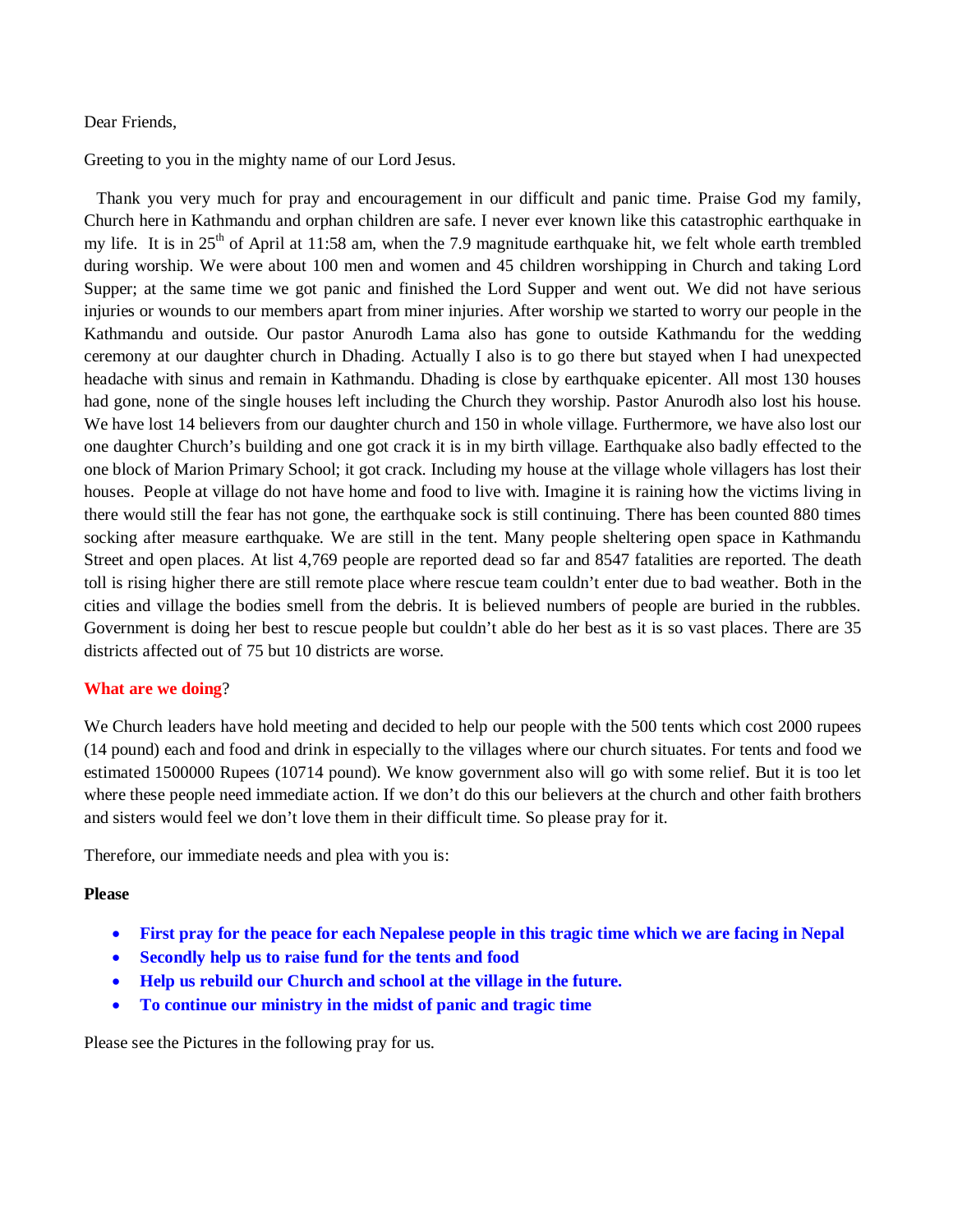## Dear Friends,

Greeting to you in the mighty name of our Lord Jesus.

 Thank you very much for pray and encouragement in our difficult and panic time. Praise God my family, Church here in Kathmandu and orphan children are safe. I never ever known like this catastrophic earthquake in my life. It is in  $25<sup>th</sup>$  of April at 11:58 am, when the 7.9 magnitude earthquake hit, we felt whole earth trembled during worship. We were about 100 men and women and 45 children worshipping in Church and taking Lord Supper; at the same time we got panic and finished the Lord Supper and went out. We did not have serious injuries or wounds to our members apart from miner injuries. After worship we started to worry our people in the Kathmandu and outside. Our pastor Anurodh Lama also has gone to outside Kathmandu for the wedding ceremony at our daughter church in Dhading. Actually I also is to go there but stayed when I had unexpected headache with sinus and remain in Kathmandu. Dhading is close by earthquake epicenter. All most 130 houses had gone, none of the single houses left including the Church they worship. Pastor Anurodh also lost his house. We have lost 14 believers from our daughter church and 150 in whole village. Furthermore, we have also lost our one daughter Church's building and one got crack it is in my birth village. Earthquake also badly effected to the one block of Marion Primary School; it got crack. Including my house at the village whole villagers has lost their houses. People at village do not have home and food to live with. Imagine it is raining how the victims living in there would still the fear has not gone, the earthquake sock is still continuing. There has been counted 880 times socking after measure earthquake. We are still in the tent. Many people sheltering open space in Kathmandu Street and open places. At list 4,769 people are reported dead so far and 8547 fatalities are reported. The death toll is rising higher there are still remote place where rescue team couldn't enter due to bad weather. Both in the cities and village the bodies smell from the debris. It is believed numbers of people are buried in the rubbles. Government is doing her best to rescue people but couldn't able do her best as it is so vast places. There are 35 districts affected out of 75 but 10 districts are worse.

## **What are we doing**?

We Church leaders have hold meeting and decided to help our people with the 500 tents which cost 2000 rupees (14 pound) each and food and drink in especially to the villages where our church situates. For tents and food we estimated 1500000 Rupees (10714 pound). We know government also will go with some relief. But it is too let where these people need immediate action. If we don't do this our believers at the church and other faith brothers and sisters would feel we don't love them in their difficult time. So please pray for it.

Therefore, our immediate needs and plea with you is:

## **Please**

- **First pray for the peace for each Nepalese people in this tragic time which we are facing in Nepal**
- **Secondly help us to raise fund for the tents and food**
- **Help us rebuild our Church and school at the village in the future.**
- **To continue our ministry in the midst of panic and tragic time**

Please see the Pictures in the following pray for us.